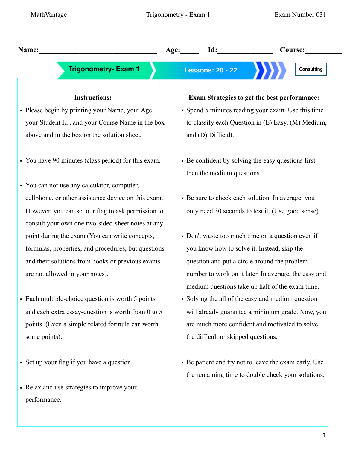| Name:                                               | Id:<br>Course:<br>Age:                                                                                  |
|-----------------------------------------------------|---------------------------------------------------------------------------------------------------------|
| <b>Trigonometry- Exam 1</b>                         | <b>Lessons: 20 - 22</b><br><b>Consulting</b>                                                            |
| <b>Instructions:</b>                                | <b>Exam Strategies to get the best performance:</b>                                                     |
| • Please begin by printing your Name, your Age,     | • Spend 5 minutes reading your exam. Use this time                                                      |
| your Student Id, and your Course Name in the box    | to classify each Question in (E) Easy, (M) Medium,                                                      |
| above and in the box on the solution sheet.         | and (D) Difficult.                                                                                      |
| • You have 90 minutes (class period) for this exam. | • Be confident by solving the easy questions first<br>then the medium questions.                        |
| • You can not use any calculator, computer,         |                                                                                                         |
| cellphone, or other assistance device on this exam. | • Be sure to check each solution. In average, you                                                       |
| However, you can set our flag to ask permission to  | only need 30 seconds to test it. (Use good sense).                                                      |
| consult your own one two-sided-sheet notes at any   |                                                                                                         |
| point during the exam (You can write concepts,      | • Don't waste too much time on a question even if                                                       |
| formulas, properties, and procedures, but questions | you know how to solve it. Instead, skip the                                                             |
| and their solutions from books or previous exams    | question and put a circle around the problem                                                            |
| are not allowed in your notes).                     | number to work on it later. In average, the easy and<br>medium questions take up half of the exam time. |
| • Each multiple-choice question is worth 5 points   | • Solving the all of the easy and medium question                                                       |
| and each extra essay-question is worth from 0 to 5  | will already guarantee a minimum grade. Now, you                                                        |
| points. (Even a simple related formula can worth    | are much more confident and motivated to solve                                                          |
| some points).                                       | the difficult or skipped questions.                                                                     |
| • Set up your flag if you have a question.          | • Be patient and try not to leave the exam early. Use                                                   |
|                                                     | the remaining time to double check your solutions.                                                      |
| • Relax and use strategies to improve your          |                                                                                                         |
| performance.                                        |                                                                                                         |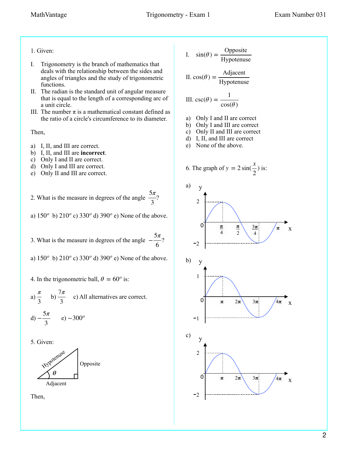- 1. Given:
- I. Trigonometry is the branch of mathematics that deals with the relationship between the sides and angles of triangles and the study of trigonometric functions.
- II. The radian is the standard unit of angular measure that is equal to the length of a corresponding arc of a unit circle.
- III. The number  $\pi$  is a mathematical constant defined as the ratio of a circle's circumference to its diameter.

Then,

- a) I, II, and III are correct.
- b) I, II, and III are **incorrect**.
- c) Only I and II are correct.
- d) Only I and III are correct.
- e) Only II and III are correct.

2. What is the measure in degrees of the angle  $\frac{5\pi}{2}$ ? 3

a)  $150^{\circ}$  b)  $210^{\circ}$  c)  $330^{\circ}$  d)  $390^{\circ}$  e) None of the above.

3. What is the measure in degrees of the angle  $-\frac{5\pi}{6}$ ? 6

a)  $150^{\circ}$  b)  $210^{\circ}$  c)  $330^{\circ}$  d)  $390^{\circ}$  e) None of the above.

- 4. In the trigonometric ball,  $\theta = 60^\circ$  is:
- a)  $\frac{\pi}{2}$  b)  $\frac{7\pi}{2}$  c) All alternatives are correct. d)  $-\frac{5\pi}{3}$  e)  $-300^\circ$ 3 7*π* 3
- 5. Given:





I. 
$$
sin(\theta) = \frac{\text{Opposite}}{\text{Hypotenuse}}
$$

II. 
$$
cos(\theta) = \frac{\text{Adjacent}}{\text{Hypotenuse}}
$$

III. 
$$
\csc(\theta) = \frac{1}{\cos(\theta)}
$$

- a) Only I and II are correct
- b) Only I and III are correct
- c) Only II and III are correct
- d) I, II, and III are correct
- e) None of the above.

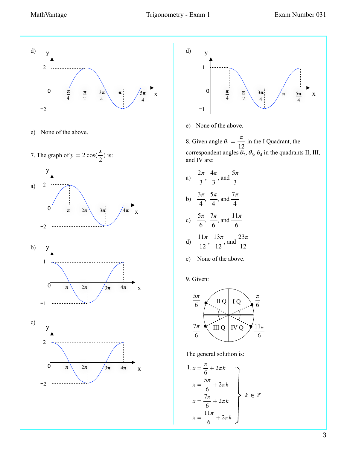

e) None of the above.







e) None of the above.

8. Given angle  $\theta_1 = \frac{\pi}{12}$  in the I Quadrant, the correspondent angles  $\theta_2$ ,  $\theta_3$ ,  $\theta_4$  in the quadrants II, III, and IV are:

a)  $\frac{2\pi}{\pi}$ ,  $\frac{4\pi}{\pi}$ , and b)  $\frac{3\pi}{4}$ ,  $\frac{5\pi}{4}$ , and 3 4*π* 3 5*π* 3 5*π* 7*π*

4 4 4  
\nc) 
$$
\frac{5\pi}{6}
$$
,  $\frac{7\pi}{6}$ , and  $\frac{11\pi}{6}$ 

d) 
$$
\frac{11\pi}{12}
$$
,  $\frac{13\pi}{12}$ , and  $\frac{23\pi}{12}$ 

e) None of the above.

9. Given:



The general solution is:

I. 
$$
x = \frac{\pi}{6} + 2\pi k
$$
  
\n
$$
x = \frac{5\pi}{6} + 2\pi k
$$
\n
$$
x = \frac{7\pi}{6} + 2\pi k
$$
\n
$$
x = \frac{11\pi}{6} + 2\pi k
$$
\n
$$
x = \frac{11\pi}{6} + 2\pi k
$$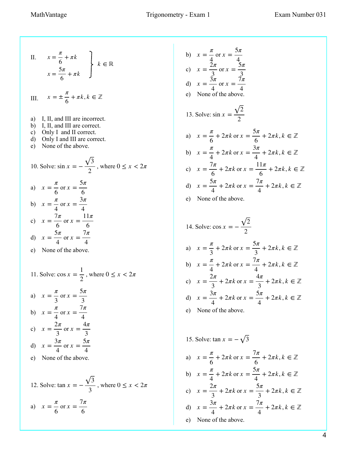II. 
$$
x = \frac{\pi}{6} + \pi k
$$
  
 $x = \frac{5\pi}{6} + \pi k$   $k \in \mathbb{R}$ 

III. 
$$
x = \pm \frac{\pi}{6} + \pi k, k \in \mathbb{Z}
$$

- a) I, II, and III are incorrect.
- b) I, II, and III are correct.
- c) Only I and II correct.
- d) Only I and III are correct.
- e) None of the above.

10. Solve: 
$$
\sin x = -\frac{\sqrt{3}}{2}
$$
, where  $0 \le x < 2\pi$   
\na)  $x = \frac{\pi}{6}$  or  $x = \frac{5\pi}{6}$   
\nb)  $x = \frac{\pi}{4}$  or  $x = \frac{3\pi}{4}$   
\nc)  $x = \frac{7\pi}{6}$  or  $x = \frac{11\pi}{6}$   
\nd)  $x = \frac{5\pi}{4}$  or  $x = \frac{7\pi}{4}$ 

e) None of the above.

11. Solve: 
$$
\cos x = \frac{1}{2}
$$
, where  $0 \le x < 2\pi$ .

a) 
$$
x = \frac{\pi}{3}
$$
 or  $x = \frac{5\pi}{3}$   
\nb)  $x = \frac{\pi}{4}$  or  $x = \frac{7\pi}{4}$   
\nc)  $x = \frac{2\pi}{3}$  or  $x = \frac{4\pi}{3}$   
\nd)  $x = \frac{3\pi}{4}$  or  $x = \frac{5\pi}{4}$ 

e) None of the above.

12. Solve: 
$$
\tan x = -\frac{\sqrt{3}}{3}
$$
, where  $0 \le x < 2\pi$   
a)  $x = \frac{\pi}{6}$  or  $x = \frac{7\pi}{6}$ 

b) 
$$
x = \frac{\pi}{4}
$$
 or  $x = \frac{5\pi}{4}$   
\nc)  $x = \frac{2\pi}{3}$  or  $x = \frac{5\pi}{3}$   
\nd)  $x = \frac{3\pi}{4}$  or  $x = \frac{7\pi}{4}$   
\ne) None of the above.  
\n13. Solve:  $\sin x = \frac{\sqrt{2}}{2}$   
\na)  $x = \frac{\pi}{6} + 2\pi k$  or  $x = \frac{5\pi}{6} + 2\pi k, k \in \mathbb{Z}$   
\nb)  $x = \frac{\pi}{4} + 2\pi k$  or  $x = \frac{3\pi}{4} + 2\pi k, k \in \mathbb{Z}$   
\nc)  $x = \frac{7\pi}{6} + 2\pi k$  or  $x = \frac{11\pi}{6} + 2\pi k, k \in \mathbb{Z}$   
\nd)  $x = \frac{5\pi}{4} + 2\pi k$  or  $x = \frac{7\pi}{4} + 2\pi k, k \in \mathbb{Z}$ 

e) None of the above.

14. Solve: 
$$
\cos x = -\frac{\sqrt{2}}{2}
$$
  
\na)  $x = \frac{\pi}{3} + 2\pi k$  or  $x = \frac{5\pi}{3} + 2\pi k, k \in \mathbb{Z}$   
\nb)  $x = \frac{\pi}{4} + 2\pi k$  or  $x = \frac{7\pi}{4} + 2\pi k, k \in \mathbb{Z}$   
\nc)  $x = \frac{2\pi}{3} + 2\pi k$  or  $x = \frac{4\pi}{3} + 2\pi k, k \in \mathbb{Z}$   
\nd)  $x = \frac{3\pi}{4} + 2\pi k$  or  $x = \frac{5\pi}{4} + 2\pi k, k \in \mathbb{Z}$ 

e) None of the above.

15. Solve:  $\tan x = -\sqrt{3}$ a)  $x = \frac{\pi}{6}$ b)  $x = \frac{\pi}{4}$ c)  $x = \frac{2\pi}{3}$ d)  $x = \frac{3\pi}{4}$ 6  $+ 2\pi k$  or  $x = \frac{7\pi}{6}$ 6  $+ 2\pi k, k \in \mathbb{Z}$ 4  $+ 2\pi k$  or  $x = \frac{5\pi}{4}$ 4  $+ 2\pi k, k \in \mathbb{Z}$ 3  $+ 2\pi k$  or  $x = \frac{5\pi}{2}$ 3  $+ 2\pi k, k \in \mathbb{Z}$ 4  $+ 2\pi k$  or  $x = \frac{7\pi}{4}$ 4  $+ 2\pi k, k \in \mathbb{Z}$ 

e) None of the above.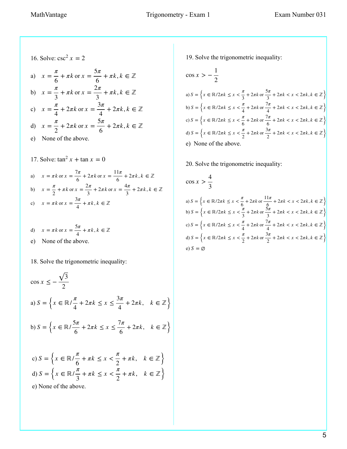16. Solve: 
$$
\csc^2 x = 2
$$
  
\na)  $x = \frac{\pi}{6} + \pi k$  or  $x = \frac{5\pi}{6} + \pi k, k \in \mathbb{Z}$   
\nb)  $x = \frac{\pi}{3} + \pi k$  or  $x = \frac{2\pi}{3} + \pi k, k \in \mathbb{Z}$   
\nc)  $x = \frac{\pi}{4} + 2\pi k$  or  $x = \frac{3\pi}{4} + 2\pi k, k \in \mathbb{Z}$   
\nd)  $x = \frac{\pi}{2} + 2\pi k$  or  $x = \frac{5\pi}{6} + 2\pi k, k \in \mathbb{Z}$   
\ne) None of the above.  
\n17. Solve:  $\tan^2 x + \tan x = 0$   
\na)  $x = \pi k$  or  $x = \frac{7\pi}{6} + 2\pi k$  or  $x = \frac{11\pi}{6} + 2\pi k, k \in \mathbb{Z}$   
\nb)  $x = \frac{\pi}{2} + \pi k$  or  $x = \frac{2\pi}{3} + 2\pi k$  or  $x = \frac{4\pi}{3} + 2\pi k, k \in \mathbb{Z}$ 

c) 
$$
x = \pi k
$$
 or  $x = \frac{3\pi}{4} + \pi k, k \in \mathbb{Z}$ 

\n- d) 
$$
x = \pi k
$$
 or  $x = \frac{5\pi}{4} + \pi k$ ,  $k \in \mathbb{Z}$
\n- e) None of the above.
\n

18. Solve the trigonometric inequality:

$$
\cos x \le -\frac{\sqrt{3}}{2}
$$
  
\na)  $S = \left\{ x \in \mathbb{R} / \frac{\pi}{4} + 2\pi k \le x \le \frac{3\pi}{4} + 2\pi k, \quad k \in \mathbb{Z} \right\}$   
\nb)  $S = \left\{ x \in \mathbb{R} / \frac{5\pi}{6} + 2\pi k \le x \le \frac{7\pi}{6} + 2\pi k, \quad k \in \mathbb{Z} \right\}$   
\nc)  $S = \left\{ x \in \mathbb{R} / \frac{\pi}{6} + \pi k \le x < \frac{\pi}{2} + \pi k, \quad k \in \mathbb{Z} \right\}$   
\nd)  $S = \left\{ x \in \mathbb{R} / \frac{\pi}{3} + \pi k \le x < \frac{\pi}{2} + \pi k, \quad k \in \mathbb{Z} \right\}$   
\ne) None of the above.

19. Solve the trigonometric inequality:

$$
\cos x > -\frac{1}{2}
$$
  
\na)  $S = \left\{ x \in \mathbb{R}/2\pi k \le x < \frac{\pi}{3} + 2\pi k \text{ or } \frac{5\pi}{3} + 2\pi k < x < 2\pi k, k \in \mathbb{Z} \right\}$   
\nb)  $S = \left\{ x \in \mathbb{R}/2\pi k \le x < \frac{\pi}{4} + 2\pi k \text{ or } \frac{7\pi}{4} + 2\pi k < x < 2\pi k, k \in \mathbb{Z} \right\}$   
\nc)  $S = \left\{ x \in \mathbb{R}/2\pi k \le x < \frac{\pi}{6} + 2\pi k \text{ or } \frac{7\pi}{6} + 2\pi k < x < 2\pi k, k \in \mathbb{Z} \right\}$   
\nd)  $S = \left\{ x \in \mathbb{R}/2\pi k \le x < \frac{\pi}{2} + 2\pi k \text{ or } \frac{3\pi}{2} + 2\pi k < x < 2\pi k, k \in \mathbb{Z} \right\}$   
\ne) None of the above.

20. Solve the trigonometric inequality:

$$
\cos x > \frac{4}{3}
$$
  
\na)  $S = \left\{ x \in \mathbb{R}/2\pi k \le x < \frac{\pi}{6} + 2\pi k \text{ or } \frac{11\pi}{6} + 2\pi k < x < 2\pi k, k \in \mathbb{Z} \right\}$   
\nb)  $S = \left\{ x \in \mathbb{R}/2\pi k \le x < \frac{\pi}{3} + 2\pi k \text{ or } \frac{5\pi}{3} + 2\pi k < x < 2\pi k, k \in \mathbb{Z} \right\}$   
\nc)  $S = \left\{ x \in \mathbb{R}/2\pi k \le x < \frac{\pi}{4} + 2\pi k \text{ or } \frac{7\pi}{4} + 2\pi k < x < 2\pi k, k \in \mathbb{Z} \right\}$   
\nd)  $S = \left\{ x \in \mathbb{R}/2\pi k \le x < \frac{\pi}{2} + 2\pi k \text{ or } \frac{3\pi}{2} + 2\pi k < x < 2\pi k, k \in \mathbb{Z} \right\}$   
\ne)  $S = \emptyset$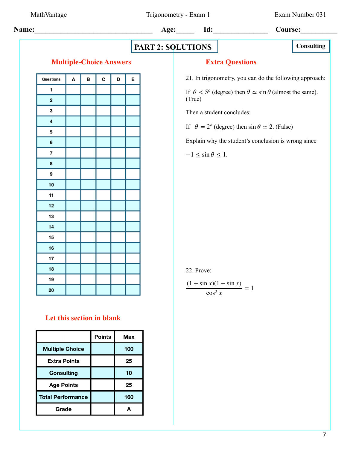MathVantage Trigonometry - Exam 1 Exam Number 031

 **Name:\_\_\_\_\_\_\_\_\_\_\_\_\_\_\_\_\_\_\_\_\_\_\_\_\_\_\_\_\_\_\_\_ Age:\_\_\_\_\_ Id:\_\_\_\_\_\_\_\_\_\_\_\_\_\_\_ Course:\_\_\_\_\_\_\_\_\_\_**

# **PART 2: SOLUTIONS** Consulting

#### **Multiple-Choice Answers**

| Questions               | A | В | C | D | E |
|-------------------------|---|---|---|---|---|
| 1                       |   |   |   |   |   |
| $\overline{\mathbf{c}}$ |   |   |   |   |   |
| 3                       |   |   |   |   |   |
| 4                       |   |   |   |   |   |
| 5                       |   |   |   |   |   |
| 6                       |   |   |   |   |   |
| 7                       |   |   |   |   |   |
| 8                       |   |   |   |   |   |
| 9                       |   |   |   |   |   |
| 10                      |   |   |   |   |   |
| 11                      |   |   |   |   |   |
| 12                      |   |   |   |   |   |
| 13                      |   |   |   |   |   |
| 14                      |   |   |   |   |   |
| 15                      |   |   |   |   |   |
| 16                      |   |   |   |   |   |
| 17                      |   |   |   |   |   |
| 18                      |   |   |   |   |   |
| 19                      |   |   |   |   |   |
| 20                      |   |   |   |   |   |

## **Let this section in blank**

|                          | <b>Points</b> | Max |
|--------------------------|---------------|-----|
| <b>Multiple Choice</b>   |               | 100 |
| <b>Extra Points</b>      |               | 25  |
| <b>Consulting</b>        |               | 10  |
| <b>Age Points</b>        |               | 25  |
| <b>Total Performance</b> |               | 160 |
| Grade                    |               | Д   |

### **Extra Questions**

21. In trigonometry, you can do the following approach:

If  $\theta < 5^{\circ}$  (degree) then  $\theta \simeq \sin \theta$  (almost the same). (True)

Then a student concludes:

If  $\theta = 2^o$  (degree) then  $\sin \theta \approx 2$ . (False)

Explain why the student's conclusion is wrong since

 $-1 \leq \sin \theta \leq 1$ .

#### 22. Prove:

$$
\frac{(1+\sin x)(1-\sin x)}{\cos^2 x} = 1
$$